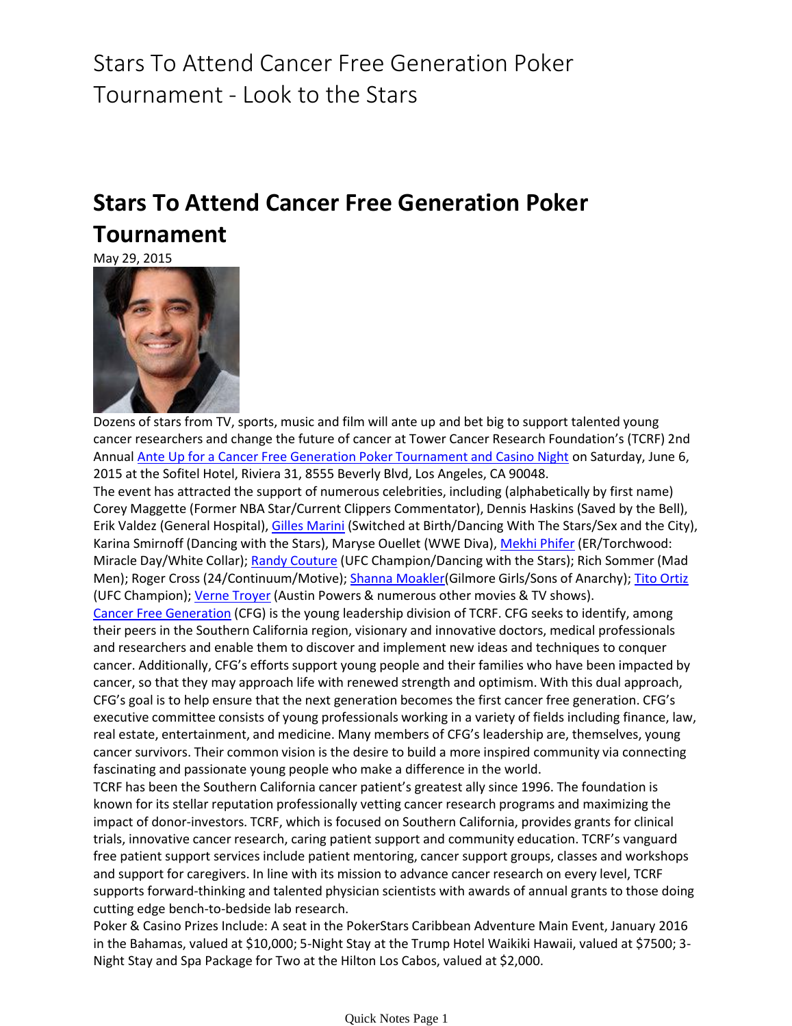## Stars To Attend Cancer Free Generation Poker Tournament - Look to the Stars

## **Stars To Attend Cancer Free Generation Poker Tournament**

May 29, 2015



Dozens of stars from TV, sports, music and film will ante up and bet big to support talented young cancer researchers and change the future of cancer at Tower Cancer Research Foundation's (TCRF) 2nd Annual [Ante Up for a Cancer Free Generation Poker Tournament and Casino Night](http://towercancer.org/about-us/tcrf-events/235-ante-up-for-a-cure-june-6-2015) on Saturday, June 6, 2015 at the Sofitel Hotel, Riviera 31, 8555 Beverly Blvd, Los Angeles, CA 90048.

The event has attracted the support of numerous celebrities, including (alphabetically by first name) Corey Maggette (Former NBA Star/Current Clippers Commentator), Dennis Haskins (Saved by the Bell), Erik Valdez (General Hospital), [Gilles Marini](https://www.looktothestars.org/celebrity/gilles-marini) (Switched at Birth/Dancing With The Stars/Sex and the City), Karina Smirnoff (Dancing with the Stars), Maryse Ouellet (WWE Diva), [Mekhi Phifer](https://www.looktothestars.org/celebrity/mekhi-phifer) (ER/Torchwood: Miracle Day/White Collar); [Randy Couture](https://www.looktothestars.org/celebrity/randy-couture) (UFC Champion/Dancing with the Stars); Rich Sommer (Mad Men); Roger Cross (24/Continuum/Motive); [Shanna Moakler\(G](https://www.looktothestars.org/celebrity/shanna-moakler)ilmore Girls/Sons of Anarchy); [Tito Ortiz](https://www.looktothestars.org/celebrity/tito-ortiz) (UFC Champion); [Verne Troyer](https://www.looktothestars.org/celebrity/verne-troyer) (Austin Powers & numerous other movies & TV shows).

[Cancer Free Generation](http://towercancer.org/cancer-free-generation) (CFG) is the young leadership division of TCRF. CFG seeks to identify, among their peers in the Southern California region, visionary and innovative doctors, medical professionals and researchers and enable them to discover and implement new ideas and techniques to conquer cancer. Additionally, CFG's efforts support young people and their families who have been impacted by cancer, so that they may approach life with renewed strength and optimism. With this dual approach, CFG's goal is to help ensure that the next generation becomes the first cancer free generation. CFG's executive committee consists of young professionals working in a variety of fields including finance, law, real estate, entertainment, and medicine. Many members of CFG's leadership are, themselves, young cancer survivors. Their common vision is the desire to build a more inspired community via connecting fascinating and passionate young people who make a difference in the world.

TCRF has been the Southern California cancer patient's greatest ally since 1996. The foundation is known for its stellar reputation professionally vetting cancer research programs and maximizing the impact of donor-investors. TCRF, which is focused on Southern California, provides grants for clinical trials, innovative cancer research, caring patient support and community education. TCRF's vanguard free patient support services include patient mentoring, cancer support groups, classes and workshops and support for caregivers. In line with its mission to advance cancer research on every level, TCRF supports forward-thinking and talented physician scientists with awards of annual grants to those doing cutting edge bench-to-bedside lab research.

Poker & Casino Prizes Include: A seat in the PokerStars Caribbean Adventure Main Event, January 2016 in the Bahamas, valued at \$10,000; 5-Night Stay at the Trump Hotel Waikiki Hawaii, valued at \$7500; 3- Night Stay and Spa Package for Two at the Hilton Los Cabos, valued at \$2,000.